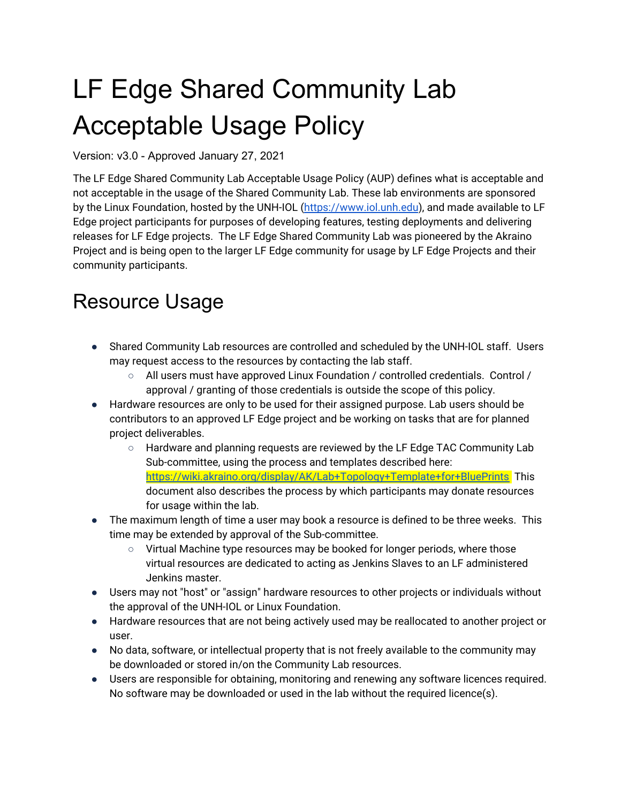# LF Edge Shared Community Lab Acceptable Usage Policy

Version: v3.0 - Approved January 27, 2021

The LF Edge Shared Community Lab Acceptable Usage Policy (AUP) defines what is acceptable and not acceptable in the usage of the Shared Community Lab. These lab environments are sponsored by the Linux Foundation, hosted by the UNH-IOL ([https://www.iol.unh.edu](https://www.iol.unh.edu/)), and made available to LF Edge project participants for purposes of developing features, testing deployments and delivering releases for LF Edge projects. The LF Edge Shared Community Lab was pioneered by the Akraino Project and is being open to the larger LF Edge community for usage by LF Edge Projects and their community participants.

#### Resource Usage

- Shared Community Lab resources are controlled and scheduled by the UNH-IOL staff. Users may request access to the resources by contacting the lab staff.
	- All users must have approved Linux Foundation / controlled credentials. Control / approval / granting of those credentials is outside the scope of this policy.
- Hardware resources are only to be used for their assigned purpose. Lab users should be contributors to an approved LF Edge project and be working on tasks that are for planned project deliverables.
	- Hardware and planning requests are reviewed by the LF Edge TAC Community Lab Sub-committee, using the process and templates described here: <https://wiki.akraino.org/display/AK/Lab+Topology+Template+for+BluePrints> This document also describes the process by which participants may donate resources for usage within the lab.
- The maximum length of time a user may book a resource is defined to be three weeks. This time may be extended by approval of the Sub-committee.
	- Virtual Machine type resources may be booked for longer periods, where those virtual resources are dedicated to acting as Jenkins Slaves to an LF administered Jenkins master.
- Users may not "host" or "assign" hardware resources to other projects or individuals without the approval of the UNH-IOL or Linux Foundation.
- Hardware resources that are not being actively used may be reallocated to another project or user.
- No data, software, or intellectual property that is not freely available to the community may be downloaded or stored in/on the Community Lab resources.
- Users are responsible for obtaining, monitoring and renewing any software licences required. No software may be downloaded or used in the lab without the required licence(s).